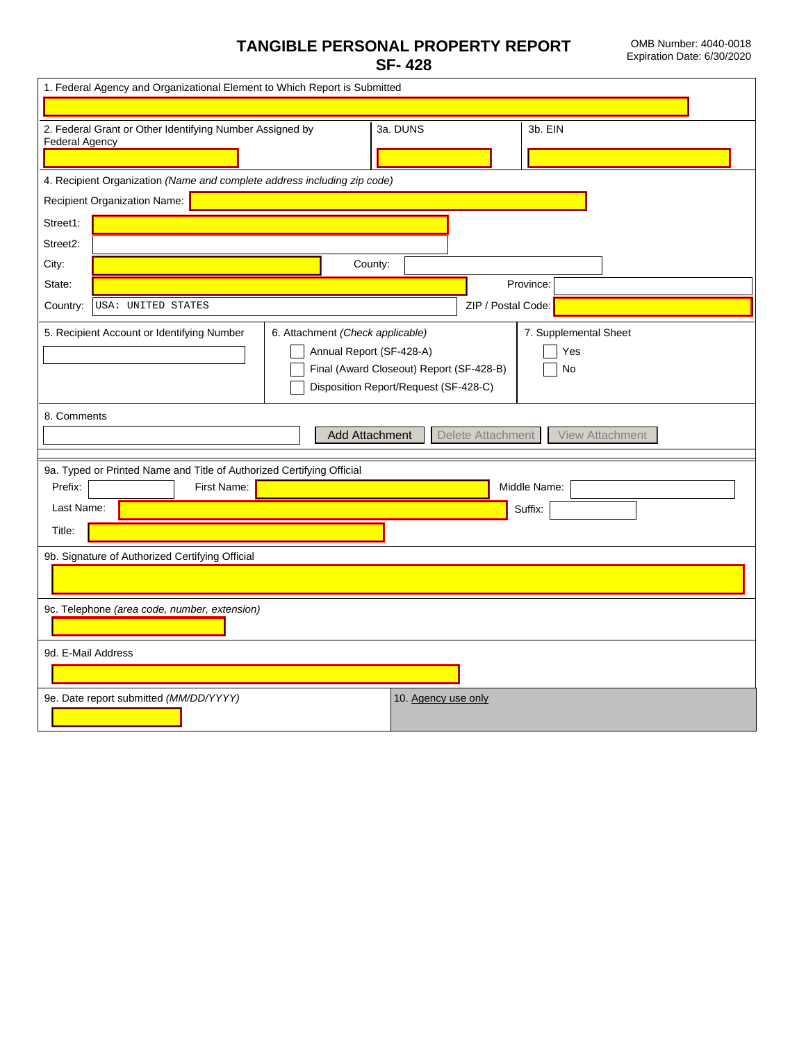## $\overline{\mathsf{x}}$

## TANGIBLE PERSONAL PROPERTY REPORT **SF-428**

OMB Number: 4040-0018 Expiration Date: 6/30/2020

| 1. Federal Agency and Organizational Element to Which Report is Submitted                                                                                                                                                             |
|---------------------------------------------------------------------------------------------------------------------------------------------------------------------------------------------------------------------------------------|
|                                                                                                                                                                                                                                       |
| 2. Federal Grant or Other Identifying Number Assigned by<br>3a. DUNS<br>3b. EIN<br><b>Federal Agency</b>                                                                                                                              |
| 4. Recipient Organization (Name and complete address including zip code)                                                                                                                                                              |
| Recipient Organization Name:                                                                                                                                                                                                          |
| Street1:                                                                                                                                                                                                                              |
| Street2:                                                                                                                                                                                                                              |
| City:<br>County:                                                                                                                                                                                                                      |
| Province:<br>State:<br>$\overline{\mathbf{v}}$                                                                                                                                                                                        |
| ZIP / Postal Code:<br>Country:<br>USA: UNITED STATES                                                                                                                                                                                  |
| 7. Supplemental Sheet<br>5. Recipient Account or Identifying Number<br>6. Attachment (Check applicable)<br>Annual Report (SF-428-A)<br>Yes<br>Final (Award Closeout) Report (SF-428-B)<br>No<br>Disposition Report/Request (SF-428-C) |
| 8. Comments<br><b>Add Attachment</b><br>Delete Attachment<br><b>View Attachment</b>                                                                                                                                                   |
| 9a. Typed or Printed Name and Title of Authorized Certifying Official<br>Prefix:<br>Middle Name:<br>First Name:<br>$\blacktriangledown$<br>Last Name:<br>Suffix:<br>$\vert \textbf{v} \vert$<br>Title:                                |
| 9b. Signature of Authorized Certifying Official                                                                                                                                                                                       |
| 9c. Telephone (area code, number, extension)                                                                                                                                                                                          |
| 9d. E-Mail Address                                                                                                                                                                                                                    |
| 9e. Date report submitted (MM/DD/YYYY)<br>10. Agency use only                                                                                                                                                                         |